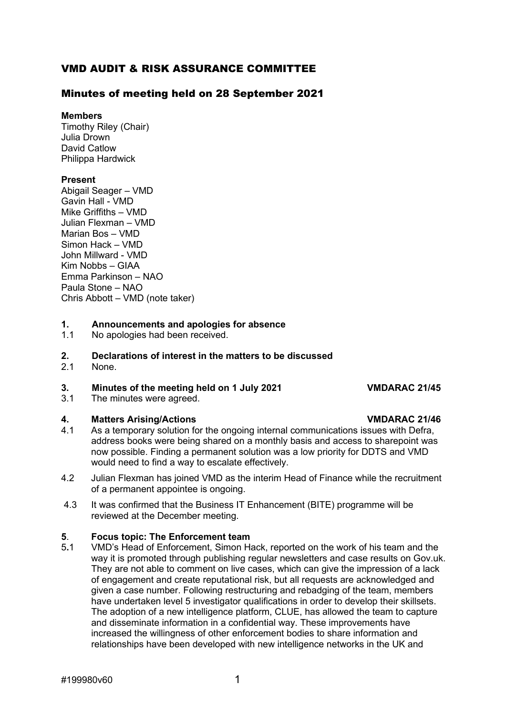### VMD AUDIT & RISK ASSURANCE COMMITTEE

### Minutes of meeting held on 28 September 2021

### **Members**

Timothy Riley (Chair) Julia Drown David Catlow Philippa Hardwick

### **Present**

Abigail Seager – VMD Gavin Hall - VMD Mike Griffiths – VMD Julian Flexman – VMD Marian Bos – VMD Simon Hack – VMD John Millward - VMD Kim Nobbs – GIAA Emma Parkinson – NAO Paula Stone – NAO Chris Abbott – VMD (note taker)

### **1. Announcements and apologies for absence**

1.1 No apologies had been received.

## **2. Declarations of interest in the matters to be discussed**

None.

## **3. Minutes of the meeting held on 1 July 2021 VMDARAC 21/45**

The minutes were agreed.

### **4. Matters Arising/Actions VMDARAC 21/46**

- 4.1 As a temporary solution for the ongoing internal communications issues with Defra, address books were being shared on a monthly basis and access to sharepoint was now possible. Finding a permanent solution was a low priority for DDTS and VMD would need to find a way to escalate effectively.
- 4.2 Julian Flexman has joined VMD as the interim Head of Finance while the recruitment of a permanent appointee is ongoing.
- 4.3 It was confirmed that the Business IT Enhancement (BITE) programme will be reviewed at the December meeting.

### **5**. **Focus topic: The Enforcement team**

5**.**1 VMD's Head of Enforcement, Simon Hack, reported on the work of his team and the way it is promoted through publishing regular newsletters and case results on Gov.uk. They are not able to comment on live cases, which can give the impression of a lack of engagement and create reputational risk, but all requests are acknowledged and given a case number. Following restructuring and rebadging of the team, members have undertaken level 5 investigator qualifications in order to develop their skillsets. The adoption of a new intelligence platform, CLUE, has allowed the team to capture and disseminate information in a confidential way. These improvements have increased the willingness of other enforcement bodies to share information and relationships have been developed with new intelligence networks in the UK and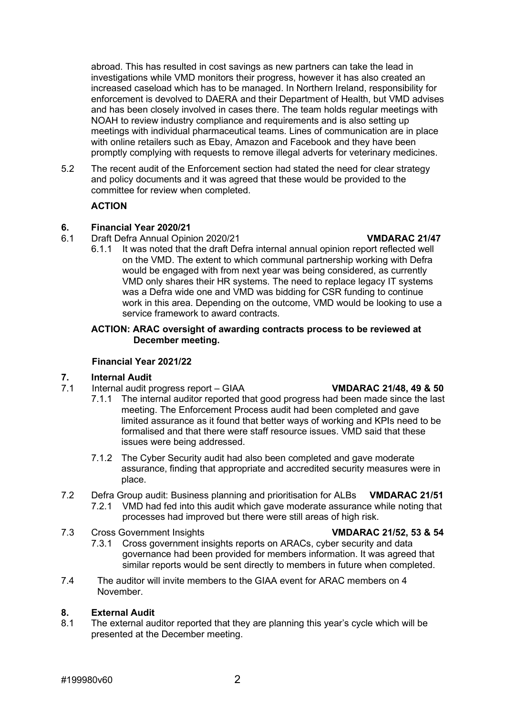abroad. This has resulted in cost savings as new partners can take the lead in investigations while VMD monitors their progress, however it has also created an increased caseload which has to be managed. In Northern Ireland, responsibility for enforcement is devolved to DAERA and their Department of Health, but VMD advises and has been closely involved in cases there. The team holds regular meetings with NOAH to review industry compliance and requirements and is also setting up meetings with individual pharmaceutical teams. Lines of communication are in place with online retailers such as Ebay, Amazon and Facebook and they have been promptly complying with requests to remove illegal adverts for veterinary medicines.

5.2 The recent audit of the Enforcement section had stated the need for clear strategy and policy documents and it was agreed that these would be provided to the committee for review when completed.

### **ACTION**

# **6. Financial Year 2020/21**

- 6.1 Draft Defra Annual Opinion 2020/21 **VMDARAC 21/47**
	- 6.1.1 It was noted that the draft Defra internal annual opinion report reflected well on the VMD. The extent to which communal partnership working with Defra would be engaged with from next year was being considered, as currently VMD only shares their HR systems. The need to replace legacy IT systems was a Defra wide one and VMD was bidding for CSR funding to continue work in this area. Depending on the outcome, VMD would be looking to use a service framework to award contracts.

### **ACTION: ARAC oversight of awarding contracts process to be reviewed at December meeting.**

### **Financial Year 2021/22**

## **7. Internal Audit**

- 7.1 Internal audit progress report GIAA **VMDARAC 21/48, 49 & 50**
	- 7.1.1 The internal auditor reported that good progress had been made since the last meeting. The Enforcement Process audit had been completed and gave limited assurance as it found that better ways of working and KPIs need to be formalised and that there were staff resource issues. VMD said that these issues were being addressed.
	- 7.1.2 The Cyber Security audit had also been completed and gave moderate assurance, finding that appropriate and accredited security measures were in place.
- 7.2 Defra Group audit: Business planning and prioritisation for ALBs **VMDARAC 21/51** 7.2.1 VMD had fed into this audit which gave moderate assurance while noting that processes had improved but there were still areas of high risk.
- 7.3 Cross Government Insights **VMDARAC 21/52, 53 & 54**

- 7.3.1 Cross government insights reports on ARACs, cyber security and data governance had been provided for members information. It was agreed that similar reports would be sent directly to members in future when completed.
- 7.4 The auditor will invite members to the GIAA event for ARAC members on 4 November.

### **8. External Audit**

8.1 The external auditor reported that they are planning this year's cycle which will be presented at the December meeting.